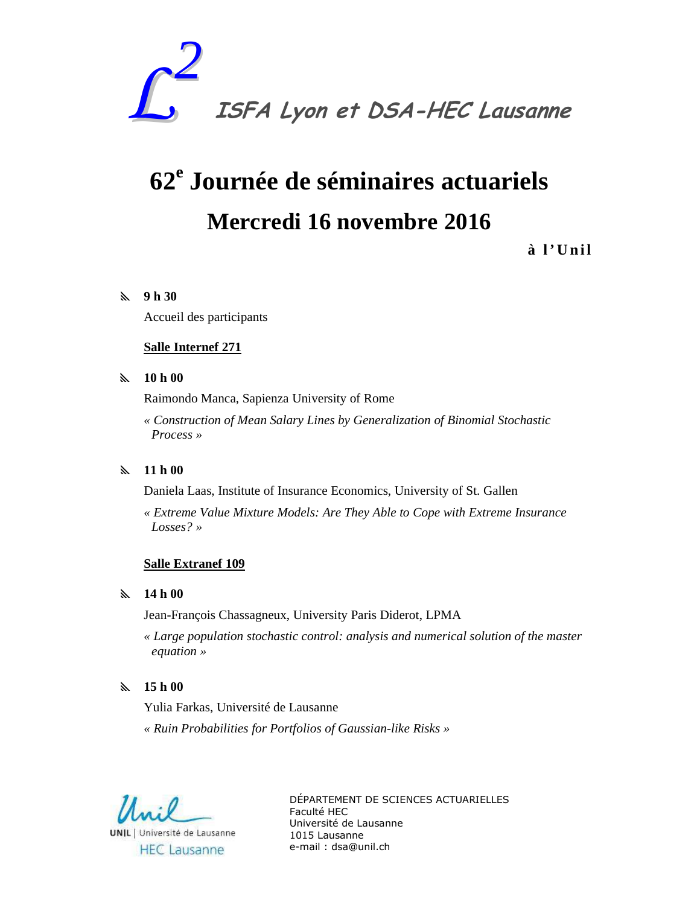

# **62<sup>e</sup> Journée de séminaires actuariels Mercredi 16 novembre 2016**

# **à l ' U n i l**

## y **9 h 30**

Accueil des participants

## **Salle Internef 271**

#### y **10 h 00**

Raimondo Manca, Sapienza University of Rome

*« Construction of Mean Salary Lines by Generalization of Binomial Stochastic Process »* 

# y **11 h 00**

Daniela Laas, Institute of Insurance Economics, University of St. Gallen

*« Extreme Value Mixture Models: Are They Able to Cope with Extreme Insurance Losses? »* 

#### **Salle Extranef 109**

#### y **14 h 00**

Jean-François Chassagneux, University Paris Diderot, LPMA

*« Large population stochastic control: analysis and numerical solution of the master equation »*

# y **15 h 00**

Yulia Farkas, Université de Lausanne

*« Ruin Probabilities for Portfolios of Gaussian-like Risks »* 

**UNIL** | Université de Lausanne **HEC** Lausanne

DÉPARTEMENT DE SCIENCES ACTUARIELLES Faculté HEC Université de Lausanne 1015 Lausanne e-mail : dsa@unil.ch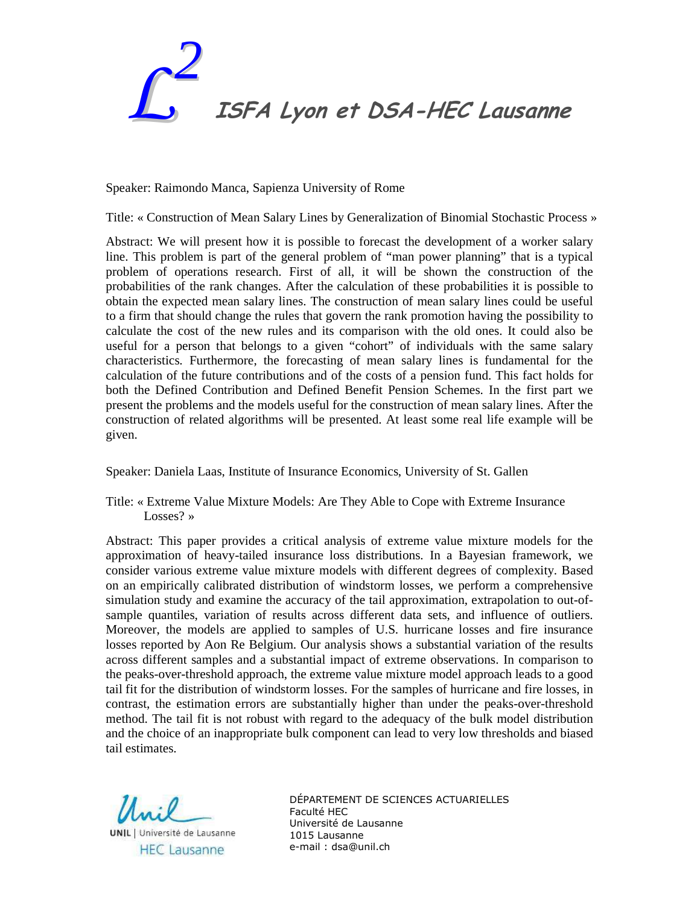

Speaker: Raimondo Manca, Sapienza University of Rome

Title: « Construction of Mean Salary Lines by Generalization of Binomial Stochastic Process »

Abstract: We will present how it is possible to forecast the development of a worker salary line. This problem is part of the general problem of "man power planning" that is a typical problem of operations research. First of all, it will be shown the construction of the probabilities of the rank changes. After the calculation of these probabilities it is possible to obtain the expected mean salary lines. The construction of mean salary lines could be useful to a firm that should change the rules that govern the rank promotion having the possibility to calculate the cost of the new rules and its comparison with the old ones. It could also be useful for a person that belongs to a given "cohort" of individuals with the same salary characteristics. Furthermore, the forecasting of mean salary lines is fundamental for the calculation of the future contributions and of the costs of a pension fund. This fact holds for both the Defined Contribution and Defined Benefit Pension Schemes. In the first part we present the problems and the models useful for the construction of mean salary lines. After the construction of related algorithms will be presented. At least some real life example will be given.

Speaker: Daniela Laas, Institute of Insurance Economics, University of St. Gallen

Title: « Extreme Value Mixture Models: Are They Able to Cope with Extreme Insurance Losses? »

Abstract: This paper provides a critical analysis of extreme value mixture models for the approximation of heavy-tailed insurance loss distributions. In a Bayesian framework, we consider various extreme value mixture models with different degrees of complexity. Based on an empirically calibrated distribution of windstorm losses, we perform a comprehensive simulation study and examine the accuracy of the tail approximation, extrapolation to out-ofsample quantiles, variation of results across different data sets, and influence of outliers. Moreover, the models are applied to samples of U.S. hurricane losses and fire insurance losses reported by Aon Re Belgium. Our analysis shows a substantial variation of the results across different samples and a substantial impact of extreme observations. In comparison to the peaks-over-threshold approach, the extreme value mixture model approach leads to a good tail fit for the distribution of windstorm losses. For the samples of hurricane and fire losses, in contrast, the estimation errors are substantially higher than under the peaks-over-threshold method. The tail fit is not robust with regard to the adequacy of the bulk model distribution and the choice of an inappropriate bulk component can lead to very low thresholds and biased tail estimates.

ll soil **UNIL** | Université de Lausanne **HEC Lausanne** 

DÉPARTEMENT DE SCIENCES ACTUARIELLES Faculté HEC Université de Lausanne 1015 Lausanne e-mail : dsa@unil.ch